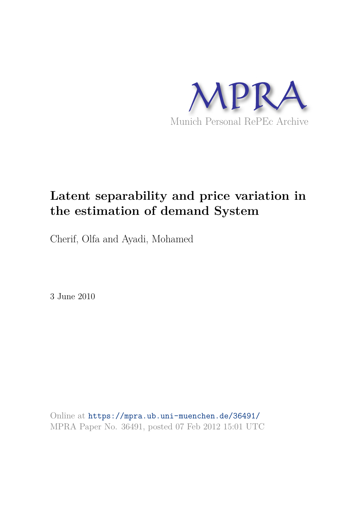

# **Latent separability and price variation in the estimation of demand System**

Cherif, Olfa and Ayadi, Mohamed

3 June 2010

Online at https://mpra.ub.uni-muenchen.de/36491/ MPRA Paper No. 36491, posted 07 Feb 2012 15:01 UTC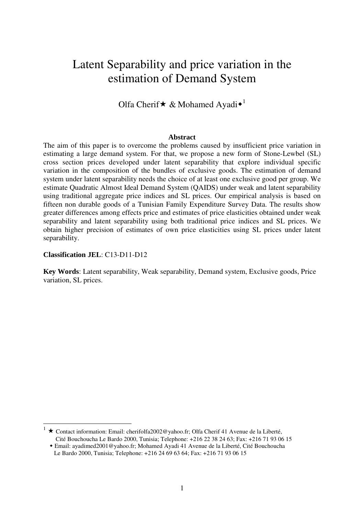## Latent Separability and price variation in the estimation of Demand System

## Olfa Cherif  $\star \&$  Mohamed Ayadi $\star$ <sup>1</sup>

### **Abstract**

The aim of this paper is to overcome the problems caused by insufficient price variation in estimating a large demand system. For that, we propose a new form of Stone-Lewbel (SL) cross section prices developed under latent separability that explore individual specific variation in the composition of the bundles of exclusive goods. The estimation of demand system under latent separability needs the choice of at least one exclusive good per group. We estimate Quadratic Almost Ideal Demand System (QAIDS) under weak and latent separability using traditional aggregate price indices and SL prices. Our empirical analysis is based on fifteen non durable goods of a Tunisian Family Expenditure Survey Data. The results show greater differences among effects price and estimates of price elasticities obtained under weak separability and latent separability using both traditional price indices and SL prices. We obtain higher precision of estimates of own price elasticities using SL prices under latent separability.

## **Classification JEL**: C13-D11-D12

 $\overline{a}$ 

**Key Words**: Latent separability, Weak separability, Demand system, Exclusive goods, Price variation, SL prices.

<sup>★</sup> Contact information: Email: cherifolfa2002@yahoo.fr; Olfa Cherif 41 Avenue de la Liberté, Cité Bouchoucha Le Bardo 2000, Tunisia; Telephone: +216 22 38 24 63; Fax: +216 71 93 06 15

- Email: ayadimed2001@yahoo.fr; Mohamed Ayadi 41 Avenue de la Liberté, Cité Bouchoucha Le Bardo 2000, Tunisia; Telephone: +216 24 69 63 64; Fax: +216 71 93 06 15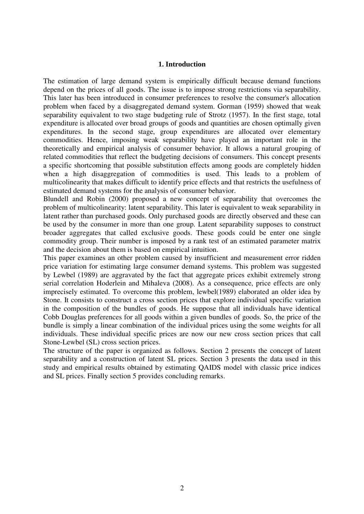## **1. Introduction**

The estimation of large demand system is empirically difficult because demand functions depend on the prices of all goods. The issue is to impose strong restrictions via separability. This later has been introduced in consumer preferences to resolve the consumer's allocation problem when faced by a disaggregated demand system. Gorman (1959) showed that weak separability equivalent to two stage budgeting rule of Strotz (1957). In the first stage, total expenditure is allocated over broad groups of goods and quantities are chosen optimally given expenditures. In the second stage, group expenditures are allocated over elementary commodities. Hence, imposing weak separability have played an important role in the theoretically and empirical analysis of consumer behavior. It allows a natural grouping of related commodities that reflect the budgeting decisions of consumers. This concept presents a specific shortcoming that possible substitution effects among goods are completely hidden when a high disaggregation of commodities is used. This leads to a problem of multicolinearity that makes difficult to identify price effects and that restricts the usefulness of estimated demand systems for the analysis of consumer behavior.

Blundell and Robin (2000) proposed a new concept of separability that overcomes the problem of multicolinearity: latent separability. This later is equivalent to weak separability in latent rather than purchased goods. Only purchased goods are directly observed and these can be used by the consumer in more than one group. Latent separability supposes to construct broader aggregates that called exclusive goods. These goods could be enter one single commodity group. Their number is imposed by a rank test of an estimated parameter matrix and the decision about them is based on empirical intuition.

This paper examines an other problem caused by insufficient and measurement error ridden price variation for estimating large consumer demand systems. This problem was suggested by Lewbel (1989) are aggravated by the fact that aggregate prices exhibit extremely strong serial correlation Hoderlein and Mihaleva (2008). As a consequence, price effects are only imprecisely estimated. To overcome this problem, lewbel(1989) elaborated an older idea by Stone. It consists to construct a cross section prices that explore individual specific variation in the composition of the bundles of goods. He suppose that all individuals have identical Cobb Douglas preferences for all goods within a given bundles of goods. So, the price of the bundle is simply a linear combination of the individual prices using the some weights for all individuals. These individual specific prices are now our new cross section prices that call Stone-Lewbel (SL) cross section prices.

The structure of the paper is organized as follows. Section 2 presents the concept of latent separability and a construction of latent SL prices. Section 3 presents the data used in this study and empirical results obtained by estimating QAIDS model with classic price indices and SL prices. Finally section 5 provides concluding remarks.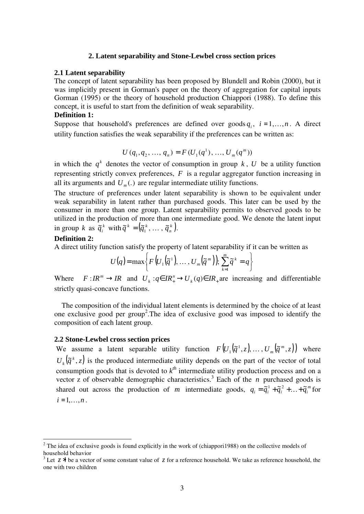## **2. Latent separability and Stone-Lewbel cross section prices**

#### **2.1 Latent separability**

The concept of latent separability has been proposed by Blundell and Robin (2000), but it was implicitly present in Gorman's paper on the theory of aggregation for capital inputs Gorman (1995) or the theory of household production Chiappori (1988). To define this concept, it is useful to start from the definition of weak separability.

## **Definition 1:**

Suppose that household's preferences are defined over goods  $q_i$ ,  $i = 1, \ldots, n$ . A direct utility function satisfies the weak separability if the preferences can be written as:

$$
U(q_1, q_2, ..., q_n) = F(U_1(q^1), ..., U_m(q^m))
$$

in which the  $q^k$  denotes the vector of consumption in group  $k$ ,  $U$  be a utility function representing strictly convex preferences, *F* is a regular aggregator function increasing in all its arguments and  $U_m$ .) are regular intermediate utility functions.

The structure of preferences under latent separability is shown to be equivalent under weak separability in latent rather than purchased goods. This later can be used by the consumer in more than one group. Latent separability permits to observed goods to be utilized in the production of more than one intermediate good. We denote the latent input in group *k* as  $\tilde{q}_i^k$  with  $\tilde{q}^k = (\tilde{q}_1^k, \dots, \tilde{q}_n^k)$ . *n*  $\widetilde{q}^k = (\widetilde{q}_1^k, \ldots, \widetilde{q}_n^k).$ 

## **Definition 2:**

 $\overline{a}$ 

A direct utility function satisfy the property of latent separability if it can be written as

$$
U(q) = \max\bigg\{F\big(U_1\big(\widetilde{q}^1\big),\ldots,U_m\big(\widetilde{q}^m\big)\big); \sum_{k=1}^m \widetilde{q}^k = q\bigg\}
$$

Where  $F: I R^m \to I R$  and  $U_k: q \in I R^n_+ \to U_k (q) \in I R$  are increasing and differentiable strictly quasi-concave functions.

 The composition of the individual latent elements is determined by the choice of at least one exclusive good per group<sup>2</sup>. The idea of exclusive good was imposed to identify the composition of each latent group.

## **2.2 Stone-Lewbel cross section prices**

We assume a latent separable utility function  $F(U_1(\tilde{q}^1, z), \ldots, U_m(\tilde{q}^m, z))$  $\mathcal{L}_1(\tilde{q}^1, z), \ldots, U_m(\tilde{q}^m, z)$  where  $U_k(\tilde{q}^k,z)$  $_{k}(\tilde{q}^{k},z)$  is the produced intermediate utility depends on the part of the vector of total consumption goods that is devoted to  $k^{th}$  intermediate utility production process and on a vector z of observable demographic characteristics.<sup>3</sup> Each of the *n* purchased goods is shared out across the production of *m* intermediate goods,  $q_i = \tilde{q}_i^1 + \tilde{q}_i^2 + ... + \tilde{q}_i^m$  for  $i = 1, \ldots, n$ .

<sup>&</sup>lt;sup>2</sup> The idea of exclusive goods is found explicitly in the work of (chiappori1988) on the collective models of household behavior

<sup>&</sup>lt;sup>3</sup> Let  $z^*$  be a vector of some constant value of  $z$  for a reference household. We take as reference household, the one with two children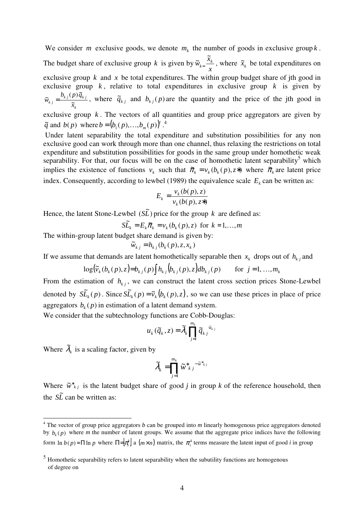We consider *m* exclusive goods, we denote  $m_k$  the number of goods in exclusive group  $k$ . The budget share of exclusive group *k* is given by *x*  $\widetilde{w}_{k} = \frac{\widetilde{x}_k}{\sqrt{k}}$  $\widetilde{w}_{k} = \frac{\widetilde{x}_k}{\widetilde{x}_k}$ , where  $\widetilde{x}_k$  be total expenditures on exclusive group  $k$  and  $x$  be total expenditures. The within group budget share of jth good in exclusive group  $k$ , relative to total expenditures in exclusive group  $k$  is given by *k*  $k$  *j*  $\{P}$   $\{V\}_{k}$  *j*  $\overline{\widetilde{x}}$  $b_{\iota}$ <sub>i</sub> $(p)$  $\tilde{q}$  $\tilde{w}_{kj} = \frac{b_{kj}(p)\tilde{q}_{kj}}{\tilde{x}}$ , where  $\tilde{q}_{kj}$  and  $b_{kj}(p)$  are the quantity and the price of the jth good in exclusive group  $k$ . The vectors of all quantities and group price aggregators are given by  $\tilde{q}$  and  $b(p)$  where  $b = (b_1(p),...,b_m(p))^t$ .<sup>4</sup>

 Under latent separability the total expenditure and substitution possibilities for any non exclusive good can work through more than one channel, thus relaxing the restrictions on total expenditure and substitution possibilities for goods in the same group under homothetic weak separability. For that, our focus will be on the case of homothetic latent separability<sup>5</sup> which implies the existence of functions  $v_k$  such that  $\tilde{\pi}_k = v_k(b_k(p), z^*)$  where  $\tilde{\pi}_k$  are latent price index. Consequently, according to lewbel (1989) the equivalence scale  $E_k$  can be written as:

$$
E_k = \frac{v_k(b(p), z)}{v_k(b(p), z^*)}
$$

Hence, the latent Stone-Lewbel  $(S\tilde{L})$  price for the group *k* are defined as:

 $S\tilde{L}_k = E_k \tilde{\pi}_k = v_k(b_k(p), z)$  for  $k = 1,...,m$ 

The within-group latent budget share demand is given by:

$$
\widetilde{w}_{k,j} = h_{k,j}(b_k(p), z, x_k)
$$

If we assume that demands are latent homothetically separable then  $x_k$  drops out of  $h_{kj}$  and

$$
\log(\widetilde{v}_k(b_k(p), z)) = b_{kj}(p) \int h_{kj}(b_{kj}(p), z) db_{kj}(p) \quad \text{for } j = 1, ..., m_k
$$

From the estimation of  $h_{kj}$ , we can construct the latent cross section prices Stone-Lewbel denoted by  $\widetilde{SL}_k(p)$ . Since  $\widetilde{SL}_k(p) = \widetilde{v}_k(b_k(p), z)$ , so we can use these prices in place of price aggregators  $b_k(p)$  in estimation of a latent demand system.

We consider that the subtechnology functions are Cobb-Douglas:

$$
u_k(\widetilde{q}_k, z) = \widetilde{\lambda}_k \prod_{j=1}^{m_k} \widetilde{q}_{kj}^{\widetilde{w}_{kj}}
$$

Where  $\tilde{\lambda}_k$  is a scaling factor, given by

$$
\widetilde{\lambda}_k = \prod_{j=1}^{m_k} \widetilde{w}_{k}^* \, e^{-\widetilde{w}_{k}^* \, j}
$$

Where  $\tilde{w}^*_{kj}$  is the latent budget share of good *j* in group *k* of the reference household, then the  $S\tilde{L}$  can be written as:

 4 The vector of group price aggregators *b* can be grouped into *m* linearly homogenous price aggregators denoted by  $b_k(p)$  where *m* the number of latent groups. We assume that the aggregate price indices have the following form  $\ln b(p) = \Pi \ln p$  where  $\Pi = \left[\pi^k\right]$  a  $(m \times n)$  matrix, the  $\pi^k$  terms measure the latent input of good *i* in group

<sup>&</sup>lt;sup>5</sup> Homothetic separability refers to latent separability when the subutility functions are homogenous of degree on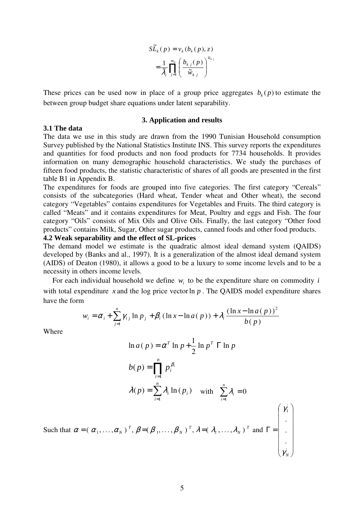$$
S\widetilde{L}_{k}(p) = v_{k}(b_{k}(p), z)
$$

$$
= \frac{1}{\widetilde{\lambda}_{i}} \prod_{j=1}^{m_{k}} \left( \frac{b_{k j}(p)}{\widetilde{w}_{k j}} \right)^{\widetilde{w}_{k j}}
$$

These prices can be used now in place of a group price aggregates  $b_k(p)$  to estimate the between group budget share equations under latent separability.

#### **3. Application and results**

#### **3.1 The data**

The data we use in this study are drawn from the 1990 Tunisian Household consumption Survey published by the National Statistics Institute INS. This survey reports the expenditures and quantities for food products and non food products for 7734 households. It provides information on many demographic household characteristics. We study the purchases of fifteen food products, the statistic characteristic of shares of all goods are presented in the first table B1 in Appendix B.

The expenditures for foods are grouped into five categories. The first category "Cereals" consists of the subcategories (Hard wheat, Tender wheat and Other wheat), the second category "Vegetables" contains expenditures for Vegetables and Fruits. The third category is called "Meats" and it contains expenditures for Meat, Poultry and eggs and Fish. The four category "Oils" consists of Mix Oils and Olive Oils. Finally, the last category "Other food products" contains Milk, Sugar, Other sugar products, canned foods and other food products.

## **4.2 Weak separability and the effect of SL-prices**

The demand model we estimate is the quadratic almost ideal demand system (QAIDS) developed by (Banks and al., 1997). It is a generalization of the almost ideal demand system (AIDS) of Deaton (1980), it allows a good to be a luxury to some income levels and to be a necessity in others income levels.

For each individual household we define  $w_i$  to be the expenditure share on commodity *i* with total expenditure x and the log price vector  $\ln p$ . The QAIDS model expenditure shares have the form

$$
w_{i} = \alpha_{i} + \sum_{j=1}^{n} \gamma_{i j} \ln p_{j} + \beta_{i} (\ln x - \ln a(p)) + \lambda_{i} \frac{(\ln x - \ln a(p))^{2}}{b(p)}
$$

Where

$$
\ln a(p) = \alpha^T \ln p + \frac{1}{2} \ln p^T \ln p
$$
  
\n
$$
b(p) = \prod_{i=1}^n p_i^{\beta_i}
$$
  
\n
$$
\lambda(p) = \sum_{i=1}^n \lambda_i \ln(p_i) \quad \text{with} \quad \sum_{i=1}^n \lambda_i = 0
$$

 $\overline{\phantom{a}}$ 

1

γ

 $\mathsf{L}$ 

ſ

 $\backslash$ 

Such that  $\alpha = (\alpha_1, \ldots, \alpha_N)^T$ ,  $\beta = (\beta_1, \ldots, \beta_N)^T$ ,  $\lambda = (\lambda_1, \ldots, \lambda_N)^T$ *T N T*  $\alpha = (\alpha_1, \ldots, \alpha_N)^T$ ,  $\beta = (\beta_1, \ldots, \beta_N)^T$ ,  $\lambda = (\lambda_1, \ldots, \lambda_N)^T$  and  $\overline{\phantom{a}}$  $\overline{\phantom{a}}$  $\overline{\phantom{a}}$  $\overline{\phantom{a}}$  $\overline{\phantom{a}}$ J  $\mathbf{I}$  $\mathbf{r}$  $\mathbf{r}$  $\mathbf{r}$  $\mathbf{r}$ l  $\Gamma =$ . . . *N* γ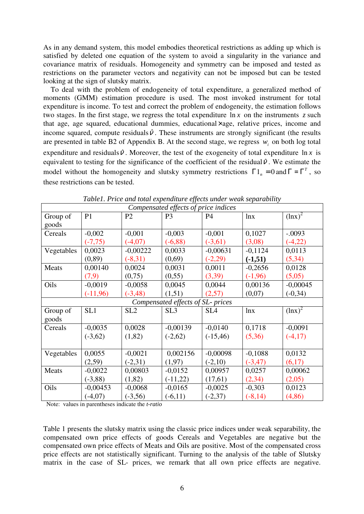As in any demand system, this model embodies theoretical restrictions as adding up which is satisfied by deleted one equation of the system to avoid a singularity in the variance and covariance matrix of residuals. Homogeneity and symmetry can be imposed and tested as restrictions on the parameter vectors and negativity can not be imposed but can be tested looking at the sign of slutsky matrix.

 To deal with the problem of endogeneity of total expenditure, a generalized method of moments (GMM) estimation procedure is used. The most invoked instrument for total expenditure is income. To test and correct the problem of endogeneity, the estimation follows two stages. In the first stage, we regress the total expenditure  $\ln x$  on the instruments  $\zeta$  such that age, age squared, educational dummies, educational×age, relative prices, income and income squared, compute residuals  $\hat{v}$ . These instruments are strongly significant (the results are presented in table B2 of Appendix B. At the second stage, we regress  $w_i$  on both log total expenditure and residuals  $\hat{v}$ . Moreover, the test of the exogeneity of total expenditure  $\ln x$  is equivalent to testing for the significance of the coefficient of the residual  $\hat{v}$ . We estimate the model without the homogeneity and slutsky symmetry restrictions  $\Gamma$ 1<sub>n</sub> = 0 and  $\Gamma = \Gamma^T$ , so these restrictions can be tested.

| Compensated effects of price indices |                |                 |                                   |                 |            |             |
|--------------------------------------|----------------|-----------------|-----------------------------------|-----------------|------------|-------------|
| Group of                             | P <sub>1</sub> | P <sub>2</sub>  | P <sub>3</sub>                    | P <sub>4</sub>  | lnx        | $(lnx)^2$   |
| goods                                |                |                 |                                   |                 |            |             |
| Cereals                              | $-0,002$       | $-0,001$        | $-0,003$                          | $-0,001$        | 0,1027     | $-.0093$    |
|                                      | $(-7, 75)$     | $(-4,07)$       | $(-6, 88)$                        | $(-3,61)$       | (3,08)     | $(-4,22)$   |
| Vegetables                           | 0,0023         | $-0,00222$      | 0,0033                            | $-0,00631$      | $-0,1124$  | 0,0113      |
|                                      | (0, 89)        | $(-8,31)$       | (0,69)                            | $(-2,29)$       | $(-1,51)$  | (5, 34)     |
| Meats                                | 0,00140        | 0,0024          | 0,0031                            | 0,0011          | $-0,2656$  | 0,0128      |
|                                      | (7,9)          | (0,75)          | (0, 55)                           | (3,39)          | $(-1,96)$  | (5,05)      |
| Oils                                 | $-0,0019$      | $-0,0058$       | 0,0045                            | 0,0044          | 0,00136    | $-0,00045$  |
|                                      | $(-11,96)$     | $(-3, 48)$      | (1,51)                            | (2,57)          | (0,07)     | $(-0,34)$   |
|                                      |                |                 | Compensated effects of SL- prices |                 |            |             |
| Group of                             | SL1            | SL <sub>2</sub> | SL <sub>3</sub>                   | SL <sub>4</sub> | ln x       | $(\ln x)^2$ |
| goods                                |                |                 |                                   |                 |            |             |
| Cereals                              | $-0,0035$      | 0,0028          | $-0,00139$                        | $-0,0140$       | 0,1718     | $-0,0091$   |
|                                      | $(-3,62)$      | (1,82)          | $(-2,62)$                         | $(-15, 46)$     | (5,36)     | $(-4,17)$   |
|                                      |                |                 |                                   |                 |            |             |
| Vegetables                           | 0,0055         | $-0,0021$       | 0,002156                          | $-0,00098$      | $-0,1088$  | 0,0132      |
|                                      | (2,59)         | $(-2,31)$       | (1,97)                            | $(-2,10)$       | $(-3, 47)$ | (6,17)      |
| Meats                                | $-0,0022$      | 0,00803         | $-0,0152$                         | 0,00957         | 0,0257     | 0,00062     |
|                                      | $(-3, 88)$     | (1,82)          | $(-11,22)$                        | (17,61)         | (2, 34)    | (2,05)      |
| Oils                                 | $-0,00453$     | $-0,0068$       | $-0,0165$                         | $-0,0025$       | $-0,303$   | 0,0123      |
|                                      | $(-4,07)$      | $(-3,56)$       | $(-6,11)$                         | $(-2,37)$       | $(-8, 14)$ | (4, 86)     |

*Table1. Price and total expenditure effects under weak separability* 

Note: values in parentheses indicate the *t-ratio*

Table 1 presents the slutsky matrix using the classic price indices under weak separability, the compensated own price effects of goods Cereals and Vegetables are negative but the compensated own price effects of Meats and Oils are positive. Most of the compensated cross price effects are not statistically significant. Turning to the analysis of the table of Slutsky matrix in the case of SL- prices, we remark that all own price effects are negative.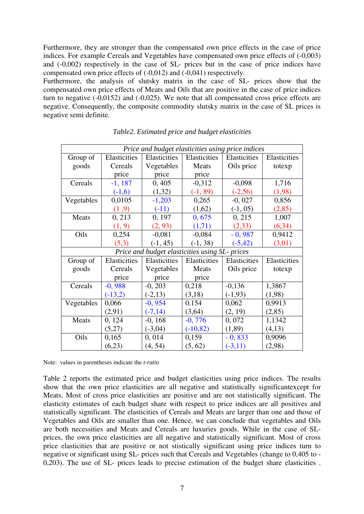Furthermore, they are stronger than the compensated own price effects in the case of price indices. For example Cereals and Vegetables have compensated own price effects of (-0,003) and (-0,002) respectively in the case of SL- prices but in the case of price indices have compensated own price effects of (-0,012) and (-0,041) respectively.

Furthermore, the analysis of slutsky matrix in the case of SL- prices show that the compensated own price effects of Meats and Oils that are positive in the case of price indices turn to negative (-0,0152) and (-0,025). We note that all compensated cross price effects are negative. Consequently, the composite commodity slutsky matrix in the case of SL prices is negative semi definite.

| Price and budget elasticities using price indices |              |              |              |              |              |  |
|---------------------------------------------------|--------------|--------------|--------------|--------------|--------------|--|
| Group of                                          | Elasticities | Elasticities | Elasticities | Elasticities | Elasticities |  |
| goods                                             | Cereals      | Vegetables   | Meats        |              | totexp       |  |
|                                                   | price        | price        | price        |              |              |  |
| Cereals                                           | $-1,187$     | 0,405        | $-0,312$     | $-0,098$     | 1,716        |  |
|                                                   | $(-1,6)$     | (1,32)       | $(-1, 89)$   | $(-2,56)$    | (1,98)       |  |
| Vegetables                                        | 0,0105       | $-1,203$     | 0,265        | $-0,027$     | 0,856        |  |
|                                                   | (1,9)        | $(-11)$      | (1,62)       | $(-1, 05)$   | (2, 85)      |  |
| Meats                                             | 0, 213       | 0, 197       | 0,675        | 0, 215       | 1,007        |  |
|                                                   | (1, 9)       | (2, 93)      | (1,71)       | (2,33)       | (6, 34)      |  |
| Oils                                              | 0,254        | $-0,081$     | $-0,084$     | $-0,987$     | 0,9412       |  |
|                                                   | (5,3)        | $(-1, 45)$   | $(-1, 38)$   | $(-5, 42)$   | (3,01)       |  |
| Price and budget elasticities using SL- prices    |              |              |              |              |              |  |
| Group of                                          | Elasticities | Elasticities | Elasticities | Elasticities | Elasticities |  |
| goods                                             | Cereals      | Vegetables   | Meats        | Oils price   | totexp       |  |
|                                                   | price        | price        | price        |              |              |  |
| Cereals                                           | $-0,988$     | $-0, 203$    | 0,218        | $-0,136$     | 1,3867       |  |
|                                                   | $(-13,2)$    | $(-2,13)$    | (3,18)       | $(-1,93)$    | (1,98)       |  |
| Vegetables                                        | 0,066        | $-0, 954$    | 0,154        | 0,062        | 0,9913       |  |
|                                                   | (2,91)       | $(-7, 14)$   | (3,64)       | (2, 19)      | (2, 85)      |  |
| Meats                                             | 0, 124       | $-0, 168$    | $-0,776$     | 0,072        | 1,1342       |  |
|                                                   | (5,27)       | $(-3,04)$    | $(-10, 82)$  | (1,89)       | (4,13)       |  |
| Oils                                              | 0,165        | 0,014        | 0,159        | $-0,833$     | 0,9096       |  |
|                                                   | (6,23)       | (4, 54)      | (5, 62)      | $(-3, 11)$   | (2,98)       |  |

*Table2. Estimated price and budget elasticities* 

Note: values in parentheses indicate the *t-ratio*

Table 2 reports the estimated price and budget elasticities using price indices. The results show that the own price elasticities are all negative and statistically significantexcept for Meats. Most of cross price elasticities are positive and are not statistically significant. The elasticity estimates of each budget share with respect to price indices are all positives and statistically significant. The elasticities of Cereals and Meats are larger than one and those of Vegetables and Oils are smaller than one. Hence, we can conclude that vegetables and Oils are both necessities and Meats and Cereals are luxuries goods. While in the case of SLprices, the own price elasticities are all negative and statistically significant. Most of cross price elasticities that are positive or not stistically significant using price indices turn to negative or significant using SL- prices such that Cereals and Vegetables (change to 0,405 to - 0,203). The use of SL- prices leads to precise estimation of the budget share elasticities .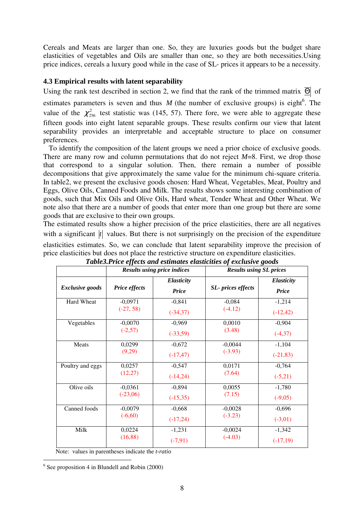Cereals and Meats are larger than one. So, they are luxuries goods but the budget share elasticities of vegetables and Oils are smaller than one, so they are both necessities.Using price indices, cereals a luxury good while in the case of SL- prices it appears to be a necessity.

## **4.3 Empirical results with latent separability**

Using the rank test described in section 2, we find that the rank of the trimmed matrix  $\overline{\Theta}$  of

estimates parameters is seven and thus  $M$  (the number of exclusive groups) is eight<sup>6</sup>. The value of the  $\chi^2_{256}$  test statistic was (145, 57). There fore, we were able to aggregate these fifteen goods into eight latent separable groups. These results confirm our view that latent separability provides an interpretable and acceptable structure to place on consumer preferences.

 To identify the composition of the latent groups we need a prior choice of exclusive goods. There are many row and column permutations that do not reject *M*=8. First, we drop those that correspond to a singular solution. Then, there remain a number of possible decompositions that give approximately the same value for the minimum chi-square criteria. In table2, we present the exclusive goods chosen: Hard Wheat, Vegetables, Meat, Poultry and Eggs, Olive Oils, Canned Foods and Milk. The results shows some interesting combination of goods, such that Mix Oils and Olive Oils, Hard wheat, Tender Wheat and Other Wheat. We note also that there are a number of goods that enter more than one group but there are some goods that are exclusive to their own groups.

The estimated results show a higher precision of the price elasticities, there are all negatives with a significant  $|t|$  values. But there is not surprisingly on the precision of the expenditure elasticities estimates. So, we can conclude that latent separability improve the precision of price elasticities but does not place the restrictive structure on expenditure elasticities.

|                        | <b>Results using price indices</b> |                            | $\mathbf{\sigma}$ .<br><b>Results using SL prices</b> |                     |  |
|------------------------|------------------------------------|----------------------------|-------------------------------------------------------|---------------------|--|
| <b>Exclusive goods</b> | <b>Price effects</b>               | Elasticity<br><b>Price</b> | <b>SL-</b> prices effects                             | Elasticity<br>Price |  |
| Hard Wheat             | $-0,0971$                          | $-0,841$                   | $-0,084$                                              | $-1,214$            |  |
|                        | $(-27, 58)$                        | $(-34,37)$                 | $(-4.12)$                                             | $(-12, 42)$         |  |
| Vegetables             | $-0,0070$                          | $-0,969$                   | 0,0010                                                | $-0,904$            |  |
|                        | $(-2,57)$                          | $(-33,59)$                 | (3.48)                                                | $(-4,37)$           |  |
| Meats                  | 0,0299                             | $-0,672$                   | $-0,0044$                                             | $-1,104$            |  |
|                        | (9,29)                             | $(-17, 47)$                | $(-3.93)$                                             | $(-21, 83)$         |  |
| Poultry and eggs       | 0,0257                             | $-0,547$                   | 0,0171                                                | $-0,764$            |  |
|                        | (12,27)                            | $(-14,24)$                 | (7.64)                                                | $(-5,21)$           |  |
| Olive oils             | $-0,0361$                          | $-0,894$                   | 0,0055                                                | $-1,780$            |  |
|                        | $(-23,06)$                         | $(-15,35)$                 | (7.15)                                                | $(-9,05)$           |  |
| Canned foods           | $-0,0079$                          | $-0,668$                   | $-0,0028$                                             | $-0,696$            |  |
|                        | $(-6,60)$                          | $(-17,24)$                 | $(-3.23)$                                             | $(-3,01)$           |  |
| Milk                   | 0,0224                             | $-1,231$                   | $-0,0024$                                             | $-1,342$            |  |
|                        | (16, 88)                           | $(-7,91)$                  | $(-4.03)$                                             | $(-17,19)$          |  |

*Table3.Price effects and estimates elasticities of exclusive goods* 

Note: values in parentheses indicate the *t-ratio*

6 See proposition 4 in Blundell and Robin (2000)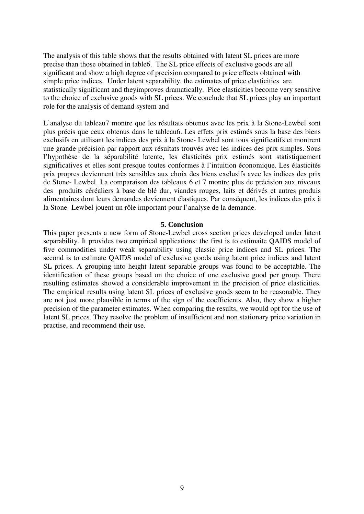The analysis of this table shows that the results obtained with latent SL prices are more precise than those obtained in table6. The SL price effects of exclusive goods are all significant and show a high degree of precision compared to price effects obtained with simple price indices. Under latent separability, the estimates of price elasticities are statistically significant and theyimproves dramatically. Pice elasticities become very sensitive to the choice of exclusive goods with SL prices. We conclude that SL prices play an important role for the analysis of demand system and

L'analyse du tableau7 montre que les résultats obtenus avec les prix à la Stone-Lewbel sont plus précis que ceux obtenus dans le tableau6. Les effets prix estimés sous la base des biens exclusifs en utilisant les indices des prix à la Stone- Lewbel sont tous significatifs et montrent une grande précision par rapport aux résultats trouvés avec les indices des prix simples. Sous l'hypothèse de la séparabilité latente, les élasticités prix estimés sont statistiquement significatives et elles sont presque toutes conformes à l'intuition économique. Les élasticités prix propres deviennent très sensibles aux choix des biens exclusifs avec les indices des prix de Stone- Lewbel. La comparaison des tableaux 6 et 7 montre plus de précision aux niveaux des produits céréaliers à base de blé dur, viandes rouges, laits et dérivés et autres produis alimentaires dont leurs demandes deviennent élastiques. Par conséquent, les indices des prix à la Stone- Lewbel jouent un rôle important pour l'analyse de la demande.

## **5. Conclusion**

This paper presents a new form of Stone-Lewbel cross section prices developed under latent separability. It provides two empirical applications: the first is to estimaite QAIDS model of five commodities under weak separability using classic price indices and SL prices. The second is to estimate QAIDS model of exclusive goods using latent price indices and latent SL prices. A grouping into height latent separable groups was found to be acceptable. The identification of these groups based on the choice of one exclusive good per group. There resulting estimates showed a considerable improvement in the precision of price elasticities. The empirical results using latent SL prices of exclusive goods seem to be reasonable. They are not just more plausible in terms of the sign of the coefficients. Also, they show a higher precision of the parameter estimates. When comparing the results, we would opt for the use of latent SL prices. They resolve the problem of insufficient and non stationary price variation in practise, and recommend their use.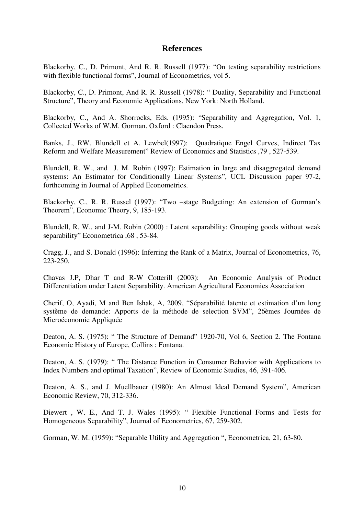## **References**

Blackorby, C., D. Primont, And R. R. Russell (1977): "On testing separability restrictions with flexible functional forms", Journal of Econometrics, vol 5.

Blackorby, C., D. Primont, And R. R. Russell (1978): " Duality, Separability and Functional Structure", Theory and Economic Applications. New York: North Holland.

Blackorby, C., And A. Shorrocks, Eds. (1995): "Separability and Aggregation, Vol. 1, Collected Works of W.M. Gorman. Oxford : Claendon Press.

Banks, J., RW. Blundell et A. Lewbel(1997): Quadratique Engel Curves, Indirect Tax Reform and Welfare Measurement" Review of Economics and Statistics ,79 , 527-539.

Blundell, R. W., and J. M. Robin (1997): Estimation in large and disaggregated demand systems: An Estimator for Conditionally Linear Systems", UCL Discussion paper 97-2, forthcoming in Journal of Applied Econometrics.

Blackorby, C., R. R. Russel (1997): "Two –stage Budgeting: An extension of Gorman's Theorem", Economic Theory, 9, 185-193.

Blundell, R. W., and J-M. Robin (2000) : Latent separability: Grouping goods without weak separability" Econometrica ,68 , 53-84.

Cragg, J., and S. Donald (1996): Inferring the Rank of a Matrix, Journal of Econometrics, 76, 223-250.

Chavas J.P, Dhar T and R-W Cotterill (2003): An Economic Analysis of Product Differentiation under Latent Separability. American Agricultural Economics Association

Cherif, O, Ayadi, M and Ben Ishak, A, 2009, "Séparabilité latente et estimation d'un long système de demande: Apports de la méthode de selection SVM", 26èmes Journées de Microéconomie Appliquée

Deaton, A. S. (1975): " The Structure of Demand" 1920-70, Vol 6, Section 2. The Fontana Economic History of Europe, Collins : Fontana.

Deaton, A. S. (1979): " The Distance Function in Consumer Behavior with Applications to Index Numbers and optimal Taxation", Review of Economic Studies, 46, 391-406.

Deaton, A. S., and J. Muellbauer (1980): An Almost Ideal Demand System", American Economic Review, 70, 312-336.

Diewert , W. E., And T. J. Wales (1995): " Flexible Functional Forms and Tests for Homogeneous Separability", Journal of Econometrics, 67, 259-302.

Gorman, W. M. (1959): "Separable Utility and Aggregation ", Econometrica, 21, 63-80.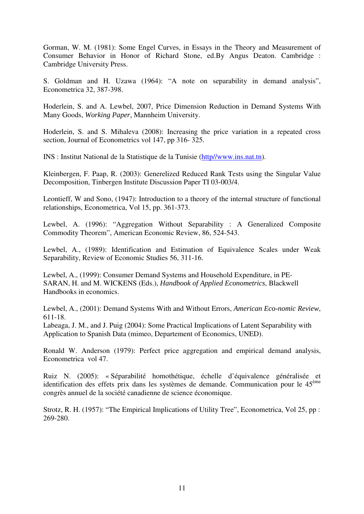Gorman, W. M. (1981): Some Engel Curves, in Essays in the Theory and Measurement of Consumer Behavior in Honor of Richard Stone, ed.By Angus Deaton. Cambridge : Cambridge University Press.

S. Goldman and H. Uzawa (1964): "A note on separability in demand analysis", Econometrica 32, 387-398.

Hoderlein, S. and A. Lewbel, 2007, Price Dimension Reduction in Demand Systems With Many Goods, *Working Paper,* Mannheim University.

Hoderlein, S. and S. Mihaleva (2008): Increasing the price variation in a repeated cross section, Journal of Econometrics vol 147, pp 316- 325.

INS : Institut National de la Statistique de la Tunisie (http//www.ins.nat.tn).

Kleinbergen, F. Paap, R. (2003): Generelized Reduced Rank Tests using the Singular Value Decomposition, Tinbergen Institute Discussion Paper TI 03-003/4.

Leontieff, W and Sono, (1947): Introduction to a theory of the internal structure of functional relationships, Econometrica, Vol 15, pp. 361-373.

Lewbel, A. (1996): "Aggregation Without Separability : A Generalized Composite Commodity Theorem", American Economic Review, 86, 524-543.

Lewbel, A., (1989): Identification and Estimation of Equivalence Scales under Weak Separability, Review of Economic Studies 56, 311-16.

Lewbel, A., (1999): Consumer Demand Systems and Household Expenditure, in PE-SARAN, H. and M. WICKENS (Eds.), *Handbook of Applied Econometrics*, Blackwell Handbooks in economics.

Lewbel, A., (2001): Demand Systems With and Without Errors, *American Eco-nomic Review*, 611-18.

Labeaga, J. M., and J. Puig (2004): Some Practical Implications of Latent Separability with Application to Spanish Data (mimeo, Departement of Economics, UNED).

Ronald W. Anderson (1979): Perfect price aggregation and empirical demand analysis, Econometrica vol 47.

Ruiz N. (2005): « Séparabilité homothétique, échelle d'équivalence généralisée et identification des effets prix dans les systèmes de demande. Communication pour le  $45^{\text{eme}}$ congrès annuel de la société canadienne de science économique.

Strotz, R. H. (1957): "The Empirical Implications of Utility Tree", Econometrica, Vol 25, pp : 269-280.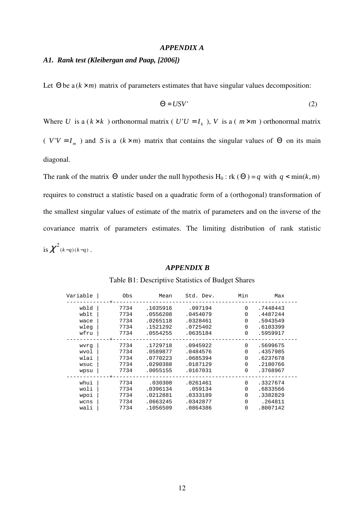## *APPENDIX A*

## *A1. Rank test (Kleibergan and Paap, [2006])*

Let  $\Theta$  be  $a(k \times m)$  matrix of parameters estimates that have singular values decomposition:

$$
\Theta = USV'
$$
 (2)

Where *U* is a ( $k \times k$ ) orthonormal matrix (  $U'U = I_k$ ), *V* is a ( $m \times m$ ) orthonormal matrix

(  $V'V = I_m$  ) and *S* is a ( $k \times m$ ) matrix that contains the singular values of Θ on its main diagonal.

The rank of the matrix  $\Theta$  under under the null hypothesis H<sub>0</sub> : rk ( $\Theta$ ) = *q* with  $q < min(k, m)$ requires to construct a statistic based on a quadratic form of a (orthogonal) transformation of the smallest singular values of estimate of the matrix of parameters and on the inverse of the covariance matrix of parameters estimates. The limiting distribution of rank statistic is  $\chi^2_{(k-q)(k-q)}$ .

#### *APPENDIX B*

| Variable | 0bs  | Mean     | Std. Dev. | Min          | Max      |
|----------|------|----------|-----------|--------------|----------|
| wbld     | 7734 | .1035916 | .097194   | $\Omega$     | .7448443 |
| wblt     | 7734 | .0556208 | .0454079  | $\Omega$     | .4487244 |
| wace     | 7734 | .0265118 | .0328461  | $\Omega$     | .5943549 |
| wleg     | 7734 | .1521292 | .0725402  | $\Omega$     | .6103399 |
| wfru     | 7734 | .0554255 | .0635184  | $\Omega$     | .5959917 |
| wvrq     | 7734 | .1729718 | .0945922  | $\Omega$     | .5699675 |
| wvol     | 7734 | .0589877 | .0484576  | 0            | .4357985 |
| wlai     | 7734 | .0770223 | .0685394  | $\Omega$     | .6237678 |
| wsuc     | 7734 | .0290388 | .0187129  | $\Omega$     | .2180766 |
| wpsu     | 7734 | .0055155 | .0167031  | $\Omega$     | .3768967 |
| whui     | 7734 | .030308  | .0261461  | $\Omega$     | .3327674 |
| woli     | 7734 | .0396134 | .059134   | 0            | .6833566 |
| wpoi     | 7734 | .0212881 | .0333189  | <sup>0</sup> | .3382829 |
| wcns     | 7734 | .0663245 | .0342877  | 0            | .264811  |
| wali     | 7734 | .1056509 | .0864386  | $\Omega$     | .8007142 |

#### Table B1: Descriptive Statistics of Budget Shares